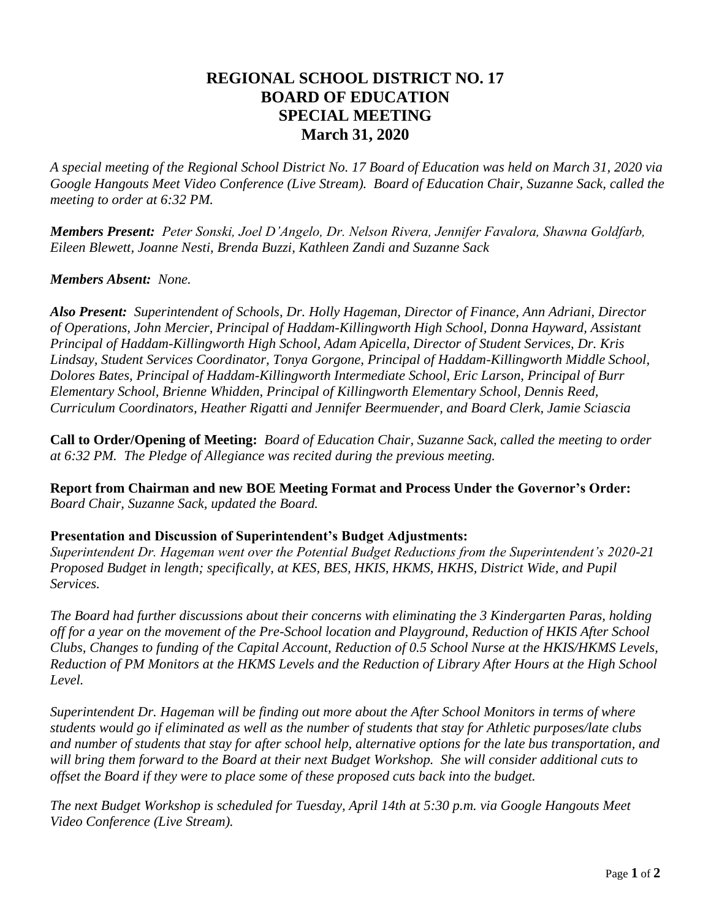## **REGIONAL SCHOOL DISTRICT NO. 17 BOARD OF EDUCATION SPECIAL MEETING March 31, 2020**

*A special meeting of the Regional School District No. 17 Board of Education was held on March 31, 2020 via Google Hangouts Meet Video Conference (Live Stream). Board of Education Chair, Suzanne Sack, called the meeting to order at 6:32 PM.*

*Members Present: Peter Sonski, Joel D'Angelo, Dr. Nelson Rivera, Jennifer Favalora, Shawna Goldfarb, Eileen Blewett, Joanne Nesti, Brenda Buzzi, Kathleen Zandi and Suzanne Sack*

## *Members Absent: None.*

*Also Present: Superintendent of Schools, Dr. Holly Hageman, Director of Finance, Ann Adriani, Director of Operations, John Mercier, Principal of Haddam-Killingworth High School, Donna Hayward, Assistant Principal of Haddam-Killingworth High School, Adam Apicella, Director of Student Services, Dr. Kris Lindsay, Student Services Coordinator, Tonya Gorgone, Principal of Haddam-Killingworth Middle School, Dolores Bates, Principal of Haddam-Killingworth Intermediate School, Eric Larson, Principal of Burr Elementary School, Brienne Whidden, Principal of Killingworth Elementary School, Dennis Reed, Curriculum Coordinators, Heather Rigatti and Jennifer Beermuender, and Board Clerk, Jamie Sciascia* 

**Call to Order/Opening of Meeting:** *Board of Education Chair, Suzanne Sack, called the meeting to order at 6:32 PM. The Pledge of Allegiance was recited during the previous meeting.*

**Report from Chairman and new BOE Meeting Format and Process Under the Governor's Order:** *Board Chair, Suzanne Sack, updated the Board.*

## **Presentation and Discussion of Superintendent's Budget Adjustments:**

*Superintendent Dr. Hageman went over the Potential Budget Reductions from the Superintendent's 2020-21 Proposed Budget in length; specifically, at KES, BES, HKIS, HKMS, HKHS, District Wide, and Pupil Services.* 

*The Board had further discussions about their concerns with eliminating the 3 Kindergarten Paras, holding off for a year on the movement of the Pre-School location and Playground, Reduction of HKIS After School Clubs, Changes to funding of the Capital Account, Reduction of 0.5 School Nurse at the HKIS/HKMS Levels, Reduction of PM Monitors at the HKMS Levels and the Reduction of Library After Hours at the High School Level.* 

*Superintendent Dr. Hageman will be finding out more about the After School Monitors in terms of where students would go if eliminated as well as the number of students that stay for Athletic purposes/late clubs and number of students that stay for after school help, alternative options for the late bus transportation, and will bring them forward to the Board at their next Budget Workshop. She will consider additional cuts to offset the Board if they were to place some of these proposed cuts back into the budget.*

*The next Budget Workshop is scheduled for Tuesday, April 14th at 5:30 p.m. via Google Hangouts Meet Video Conference (Live Stream).*